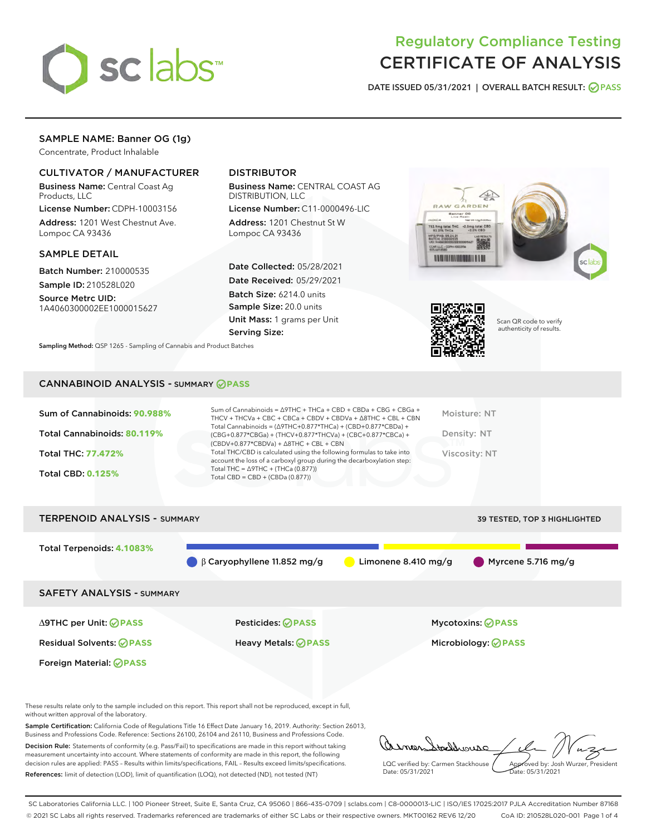

# Regulatory Compliance Testing CERTIFICATE OF ANALYSIS

DATE ISSUED 05/31/2021 | OVERALL BATCH RESULT: @ PASS

## SAMPLE NAME: Banner OG (1g)

Concentrate, Product Inhalable

#### CULTIVATOR / MANUFACTURER

Business Name: Central Coast Ag Products, LLC

License Number: CDPH-10003156 Address: 1201 West Chestnut Ave. Lompoc CA 93436

#### SAMPLE DETAIL

Batch Number: 210000535

Sample ID: 210528L020 Source Metrc UID:

1A4060300002EE1000015627

# DISTRIBUTOR

Business Name: CENTRAL COAST AG DISTRIBUTION, LLC

License Number: C11-0000496-LIC Address: 1201 Chestnut St W Lompoc CA 93436

Date Collected: 05/28/2021 Date Received: 05/29/2021 Batch Size: 6214.0 units Sample Size: 20.0 units Unit Mass: 1 grams per Unit Serving Size:





Scan QR code to verify authenticity of results.

Sampling Method: QSP 1265 - Sampling of Cannabis and Product Batches

### CANNABINOID ANALYSIS - SUMMARY **PASS**

| Sum of Cannabinoids: 90.988%<br>Total Cannabinoids: 80.119%<br>Total THC: 77.472%<br><b>Total CBD: 0.125%</b> | Sum of Cannabinoids = $\triangle$ 9THC + THCa + CBD + CBDa + CBG + CBGa +<br>THCV + THCVa + CBC + CBCa + CBDV + CBDVa + $\Delta$ 8THC + CBL + CBN<br>Total Cannabinoids = $(\Delta$ 9THC+0.877*THCa) + (CBD+0.877*CBDa) +<br>(CBG+0.877*CBGa) + (THCV+0.877*THCVa) + (CBC+0.877*CBCa) +<br>$(CBDV+0.877*CBDVa) + \Delta 8THC + CBL + CBN$<br>Total THC/CBD is calculated using the following formulas to take into<br>account the loss of a carboxyl group during the decarboxylation step:<br>Total THC = $\triangle$ 9THC + (THCa (0.877))<br>Total CBD = $CBD + (CBDa (0.877))$ | Moisture: NT<br>Density: NT<br>Viscosity: NT |
|---------------------------------------------------------------------------------------------------------------|------------------------------------------------------------------------------------------------------------------------------------------------------------------------------------------------------------------------------------------------------------------------------------------------------------------------------------------------------------------------------------------------------------------------------------------------------------------------------------------------------------------------------------------------------------------------------------|----------------------------------------------|
| <b>TERPENOID ANALYSIS - SUMMARY</b>                                                                           |                                                                                                                                                                                                                                                                                                                                                                                                                                                                                                                                                                                    | 39 TESTED, TOP 3 HIGHLIGHTED                 |

Total Terpenoids: **4.1083%**  $\bigcirc$  β Caryophyllene 11.852 mg/g  $\bigcirc$  Limonene 8.410 mg/g Myrcene 5.716 mg/g SAFETY ANALYSIS - SUMMARY ∆9THC per Unit: **PASS** Pesticides: **PASS** Mycotoxins: **PASS** Residual Solvents: **PASS** Heavy Metals: **PASS** Microbiology: **PASS** Foreign Material: **PASS**

These results relate only to the sample included on this report. This report shall not be reproduced, except in full, without written approval of the laboratory.

Sample Certification: California Code of Regulations Title 16 Effect Date January 16, 2019. Authority: Section 26013, Business and Professions Code. Reference: Sections 26100, 26104 and 26110, Business and Professions Code.

Decision Rule: Statements of conformity (e.g. Pass/Fail) to specifications are made in this report without taking measurement uncertainty into account. Where statements of conformity are made in this report, the following decision rules are applied: PASS – Results within limits/specifications, FAIL – Results exceed limits/specifications. References: limit of detection (LOD), limit of quantification (LOQ), not detected (ND), not tested (NT)

addrouse LQC verified by: Carmen Stackhouse Approved by: Josh Wurzer, President Date: 05/31/2021 Date: 05/31/2021

SC Laboratories California LLC. | 100 Pioneer Street, Suite E, Santa Cruz, CA 95060 | 866-435-0709 | sclabs.com | C8-0000013-LIC | ISO/IES 17025:2017 PJLA Accreditation Number 87168 © 2021 SC Labs all rights reserved. Trademarks referenced are trademarks of either SC Labs or their respective owners. MKT00162 REV6 12/20 CoA ID: 210528L020-001 Page 1 of 4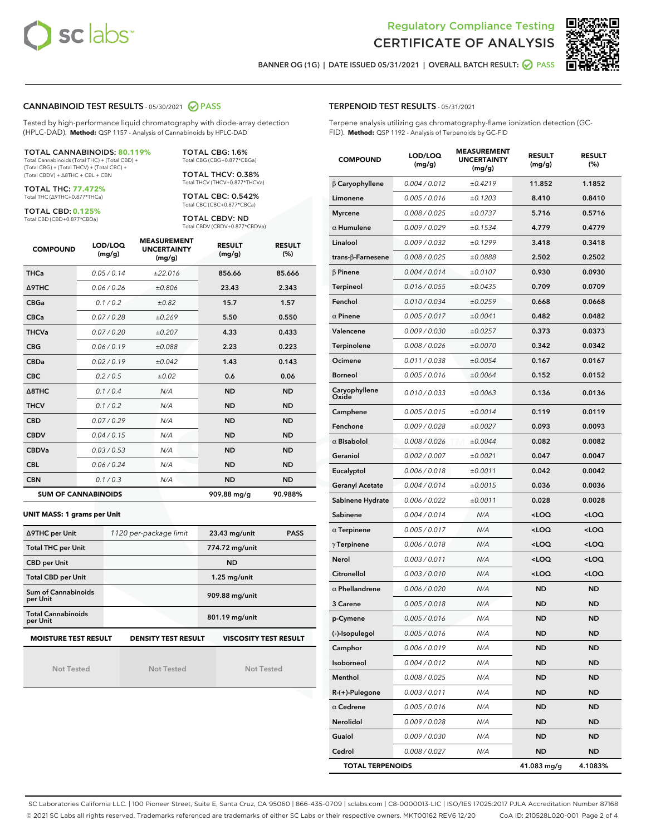



BANNER OG (1G) | DATE ISSUED 05/31/2021 | OVERALL BATCH RESULT: @ PASS

#### CANNABINOID TEST RESULTS - 05/30/2021 2 PASS

Tested by high-performance liquid chromatography with diode-array detection (HPLC-DAD). **Method:** QSP 1157 - Analysis of Cannabinoids by HPLC-DAD

#### TOTAL CANNABINOIDS: **80.119%**

Total Cannabinoids (Total THC) + (Total CBD) + (Total CBG) + (Total THCV) + (Total CBC) + (Total CBDV) + ∆8THC + CBL + CBN

TOTAL THC: **77.472%** Total THC (∆9THC+0.877\*THCa)

TOTAL CBD: **0.125%**

Total CBD (CBD+0.877\*CBDa)

TOTAL CBG: 1.6% Total CBG (CBG+0.877\*CBGa)

TOTAL THCV: 0.38% Total THCV (THCV+0.877\*THCVa)

TOTAL CBC: 0.542% Total CBC (CBC+0.877\*CBCa)

TOTAL CBDV: ND Total CBDV (CBDV+0.877\*CBDVa)

| <b>COMPOUND</b>  | LOD/LOQ<br>(mg/g)          | <b>MEASUREMENT</b><br><b>UNCERTAINTY</b><br>(mg/g) | <b>RESULT</b><br>(mg/g) | <b>RESULT</b><br>(%) |
|------------------|----------------------------|----------------------------------------------------|-------------------------|----------------------|
| <b>THCa</b>      | 0.05/0.14                  | ±22.016                                            | 856.66                  | 85.666               |
| <b>A9THC</b>     | 0.06 / 0.26                | ±0.806                                             | 23.43                   | 2.343                |
| <b>CBGa</b>      | 0.1 / 0.2                  | ±0.82                                              | 15.7                    | 1.57                 |
| <b>CBCa</b>      | 0.07/0.28                  | ±0.269                                             | 5.50                    | 0.550                |
| <b>THCVa</b>     | 0.07/0.20                  | ±0.207                                             | 4.33                    | 0.433                |
| <b>CBG</b>       | 0.06/0.19                  | ±0.088                                             | 2.23                    | 0.223                |
| <b>CBDa</b>      | 0.02/0.19                  | ±0.042                                             | 1.43                    | 0.143                |
| <b>CBC</b>       | 0.2 / 0.5                  | ±0.02                                              | 0.6                     | 0.06                 |
| $\triangle$ 8THC | 0.1/0.4                    | N/A                                                | <b>ND</b>               | <b>ND</b>            |
| <b>THCV</b>      | 0.1/0.2                    | N/A                                                | <b>ND</b>               | <b>ND</b>            |
| <b>CBD</b>       | 0.07/0.29                  | N/A                                                | <b>ND</b>               | <b>ND</b>            |
| <b>CBDV</b>      | 0.04 / 0.15                | N/A                                                | <b>ND</b>               | <b>ND</b>            |
| <b>CBDVa</b>     | 0.03/0.53                  | N/A                                                | <b>ND</b>               | <b>ND</b>            |
| <b>CBL</b>       | 0.06 / 0.24                | N/A                                                | <b>ND</b>               | <b>ND</b>            |
| <b>CBN</b>       | 0.1/0.3                    | N/A                                                | <b>ND</b>               | <b>ND</b>            |
|                  | <b>SUM OF CANNABINOIDS</b> |                                                    | 909.88 mg/g             | 90.988%              |

#### **UNIT MASS: 1 grams per Unit**

| ∆9THC per Unit                        | 1120 per-package limit | $23.43$ mg/unit<br><b>PASS</b> |
|---------------------------------------|------------------------|--------------------------------|
| <b>Total THC per Unit</b>             |                        | 774.72 mg/unit                 |
| <b>CBD per Unit</b>                   |                        | <b>ND</b>                      |
| <b>Total CBD per Unit</b>             |                        | $1.25$ mg/unit                 |
| Sum of Cannabinoids<br>per Unit       |                        | 909.88 mg/unit                 |
| <b>Total Cannabinoids</b><br>per Unit |                        | 801.19 mg/unit                 |
| <b>MOISTURE TEST RESULT</b>           | DENSITY TEST RESULT    | <b>VISCOSITY TEST RESULT</b>   |

Not Tested

Not Tested

Not Tested

#### TERPENOID TEST RESULTS - 05/31/2021

Terpene analysis utilizing gas chromatography-flame ionization detection (GC-FID). **Method:** QSP 1192 - Analysis of Terpenoids by GC-FID

| <b>COMPOUND</b>         | LOD/LOQ<br>(mg/g) | <b>MEASUREMENT</b><br><b>UNCERTAINTY</b><br>(mg/g) | <b>RESULT</b><br>(mg/g)                         | <b>RESULT</b><br>$(\%)$ |
|-------------------------|-------------------|----------------------------------------------------|-------------------------------------------------|-------------------------|
| $\beta$ Caryophyllene   | 0.004 / 0.012     | ±0.4219                                            | 11.852                                          | 1.1852                  |
| Limonene                | 0.005 / 0.016     | ±0.1203                                            | 8.410                                           | 0.8410                  |
| <b>Myrcene</b>          | 0.008 / 0.025     | ±0.0737                                            | 5.716                                           | 0.5716                  |
| $\alpha$ Humulene       | 0.009 / 0.029     | ±0.1534                                            | 4.779                                           | 0.4779                  |
| Linalool                | 0.009 / 0.032     | ±0.1299                                            | 3.418                                           | 0.3418                  |
| trans-ß-Farnesene       | 0.008 / 0.025     | ±0.0888                                            | 2.502                                           | 0.2502                  |
| $\beta$ Pinene          | 0.004 / 0.014     | ±0.0107                                            | 0.930                                           | 0.0930                  |
| Terpineol               | 0.016 / 0.055     | ±0.0435                                            | 0.709                                           | 0.0709                  |
| Fenchol                 | 0.010 / 0.034     | ±0.0259                                            | 0.668                                           | 0.0668                  |
| $\alpha$ Pinene         | 0.005 / 0.017     | ±0.0041                                            | 0.482                                           | 0.0482                  |
| Valencene               | 0.009 / 0.030     | ±0.0257                                            | 0.373                                           | 0.0373                  |
| Terpinolene             | 0.008 / 0.026     | ±0.0070                                            | 0.342                                           | 0.0342                  |
| Ocimene                 | 0.011 / 0.038     | ±0.0054                                            | 0.167                                           | 0.0167                  |
| <b>Borneol</b>          | 0.005 / 0.016     | ±0.0064                                            | 0.152                                           | 0.0152                  |
| Caryophyllene<br>Oxide  | 0.010 / 0.033     | ±0.0063                                            | 0.136                                           | 0.0136                  |
| Camphene                | 0.005 / 0.015     | ±0.0014                                            | 0.119                                           | 0.0119                  |
| Fenchone                | 0.009 / 0.028     | ±0.0027                                            | 0.093                                           | 0.0093                  |
| $\alpha$ Bisabolol      | 0.008 / 0.026     | ±0.0044                                            | 0.082                                           | 0.0082                  |
| Geraniol                | 0.002 / 0.007     | ±0.0021                                            | 0.047                                           | 0.0047                  |
| Eucalyptol              | 0.006 / 0.018     | ±0.0011                                            | 0.042                                           | 0.0042                  |
| <b>Geranyl Acetate</b>  | 0.004 / 0.014     | ±0.0015                                            | 0.036                                           | 0.0036                  |
| Sabinene Hydrate        | 0.006 / 0.022     | ±0.0011                                            | 0.028                                           | 0.0028                  |
| Sabinene                | 0.004 / 0.014     | N/A                                                | <loq< th=""><th><loq< th=""></loq<></th></loq<> | <loq< th=""></loq<>     |
| $\alpha$ Terpinene      | 0.005 / 0.017     | N/A                                                | <loq< th=""><th><loq< th=""></loq<></th></loq<> | <loq< th=""></loq<>     |
| $\gamma$ Terpinene      | 0.006 / 0.018     | N/A                                                | <loq< th=""><th><loq< th=""></loq<></th></loq<> | <loq< th=""></loq<>     |
| Nerol                   | 0.003 / 0.011     | N/A                                                | <loq< th=""><th><loq< th=""></loq<></th></loq<> | <loq< th=""></loq<>     |
| Citronellol             | 0.003 / 0.010     | N/A                                                | <loq< th=""><th><loq< th=""></loq<></th></loq<> | <loq< th=""></loq<>     |
| $\alpha$ Phellandrene   | 0.006 / 0.020     | N/A                                                | ND                                              | <b>ND</b>               |
| 3 Carene                | 0.005 / 0.018     | N/A                                                | ND                                              | <b>ND</b>               |
| p-Cymene                | 0.005 / 0.016     | N/A                                                | <b>ND</b>                                       | <b>ND</b>               |
| (-)-Isopulegol          | 0.005 / 0.016     | N/A                                                | ND                                              | ND                      |
| Camphor                 | 0.006 / 0.019     | N/A                                                | ND                                              | <b>ND</b>               |
| Isoborneol              | 0.004 / 0.012     | N/A                                                | ND                                              | ND                      |
| Menthol                 | 0.008 / 0.025     | N/A                                                | ND                                              | <b>ND</b>               |
| R-(+)-Pulegone          | 0.003 / 0.011     | N/A                                                | ND                                              | ND                      |
| $\alpha$ Cedrene        | 0.005 / 0.016     | N/A                                                | ND                                              | ND                      |
| Nerolidol               | 0.009 / 0.028     | N/A                                                | ND                                              | ND                      |
| Guaiol                  | 0.009 / 0.030     | N/A                                                | ND                                              | ND                      |
| Cedrol                  | 0.008 / 0.027     | N/A                                                | ND                                              | <b>ND</b>               |
| <b>TOTAL TERPENOIDS</b> |                   |                                                    | 41.083 mg/g                                     | 4.1083%                 |

SC Laboratories California LLC. | 100 Pioneer Street, Suite E, Santa Cruz, CA 95060 | 866-435-0709 | sclabs.com | C8-0000013-LIC | ISO/IES 17025:2017 PJLA Accreditation Number 87168 © 2021 SC Labs all rights reserved. Trademarks referenced are trademarks of either SC Labs or their respective owners. MKT00162 REV6 12/20 CoA ID: 210528L020-001 Page 2 of 4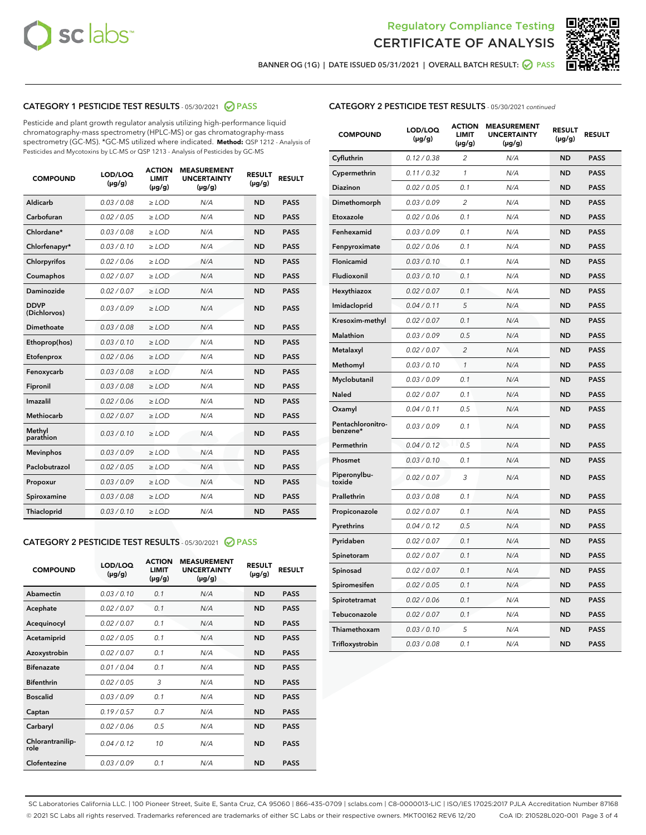



BANNER OG (1G) | DATE ISSUED 05/31/2021 | OVERALL BATCH RESULT:  $\bigotimes$  PASS

#### CATEGORY 1 PESTICIDE TEST RESULTS - 05/30/2021 2 PASS

Pesticide and plant growth regulator analysis utilizing high-performance liquid chromatography-mass spectrometry (HPLC-MS) or gas chromatography-mass spectrometry (GC-MS). \*GC-MS utilized where indicated. **Method:** QSP 1212 - Analysis of Pesticides and Mycotoxins by LC-MS or QSP 1213 - Analysis of Pesticides by GC-MS

| <b>COMPOUND</b>             | LOD/LOQ<br>$(\mu g/g)$ | <b>ACTION</b><br><b>LIMIT</b><br>$(\mu g/g)$ | <b>MEASUREMENT</b><br><b>UNCERTAINTY</b><br>$(\mu g/g)$ | <b>RESULT</b><br>$(\mu g/g)$ | <b>RESULT</b> |
|-----------------------------|------------------------|----------------------------------------------|---------------------------------------------------------|------------------------------|---------------|
| Aldicarb                    | 0.03 / 0.08            | $\ge$ LOD                                    | N/A                                                     | <b>ND</b>                    | <b>PASS</b>   |
| Carbofuran                  | 0.02/0.05              | $>$ LOD                                      | N/A                                                     | <b>ND</b>                    | <b>PASS</b>   |
| Chlordane*                  | 0.03 / 0.08            | $\ge$ LOD                                    | N/A                                                     | <b>ND</b>                    | <b>PASS</b>   |
| Chlorfenapyr*               | 0.03/0.10              | $>$ LOD                                      | N/A                                                     | <b>ND</b>                    | <b>PASS</b>   |
| Chlorpyrifos                | 0.02 / 0.06            | $\geq$ LOD                                   | N/A                                                     | <b>ND</b>                    | <b>PASS</b>   |
| Coumaphos                   | 0.02 / 0.07            | $\ge$ LOD                                    | N/A                                                     | <b>ND</b>                    | <b>PASS</b>   |
| Daminozide                  | 0.02 / 0.07            | $\ge$ LOD                                    | N/A                                                     | <b>ND</b>                    | <b>PASS</b>   |
| <b>DDVP</b><br>(Dichlorvos) | 0.03/0.09              | $\ge$ LOD                                    | N/A                                                     | <b>ND</b>                    | <b>PASS</b>   |
| Dimethoate                  | 0.03/0.08              | $>$ LOD                                      | N/A                                                     | <b>ND</b>                    | <b>PASS</b>   |
| Ethoprop(hos)               | 0.03/0.10              | $\ge$ LOD                                    | N/A                                                     | <b>ND</b>                    | <b>PASS</b>   |
| Etofenprox                  | 0.02 / 0.06            | $\ge$ LOD                                    | N/A                                                     | <b>ND</b>                    | <b>PASS</b>   |
| Fenoxycarb                  | 0.03 / 0.08            | $\ge$ LOD                                    | N/A                                                     | <b>ND</b>                    | <b>PASS</b>   |
| Fipronil                    | 0.03/0.08              | $>$ LOD                                      | N/A                                                     | <b>ND</b>                    | <b>PASS</b>   |
| Imazalil                    | 0.02 / 0.06            | $\ge$ LOD                                    | N/A                                                     | <b>ND</b>                    | <b>PASS</b>   |
| <b>Methiocarb</b>           | 0.02 / 0.07            | $\ge$ LOD                                    | N/A                                                     | <b>ND</b>                    | <b>PASS</b>   |
| Methyl<br>parathion         | 0.03/0.10              | $\ge$ LOD                                    | N/A                                                     | <b>ND</b>                    | <b>PASS</b>   |
| <b>Mevinphos</b>            | 0.03/0.09              | $>$ LOD                                      | N/A                                                     | <b>ND</b>                    | <b>PASS</b>   |
| Paclobutrazol               | 0.02 / 0.05            | $\ge$ LOD                                    | N/A                                                     | <b>ND</b>                    | <b>PASS</b>   |
| Propoxur                    | 0.03/0.09              | $\ge$ LOD                                    | N/A                                                     | <b>ND</b>                    | <b>PASS</b>   |
| Spiroxamine                 | 0.03 / 0.08            | $\ge$ LOD                                    | N/A                                                     | <b>ND</b>                    | <b>PASS</b>   |
| Thiacloprid                 | 0.03/0.10              | $\ge$ LOD                                    | N/A                                                     | <b>ND</b>                    | <b>PASS</b>   |

#### CATEGORY 2 PESTICIDE TEST RESULTS - 05/30/2021 @ PASS

| <b>COMPOUND</b>          | LOD/LOQ<br>$(\mu g/g)$ | <b>ACTION</b><br><b>LIMIT</b><br>$(\mu g/g)$ | <b>MEASUREMENT</b><br><b>UNCERTAINTY</b><br>$(\mu g/g)$ | <b>RESULT</b><br>$(\mu g/g)$ | <b>RESULT</b> |
|--------------------------|------------------------|----------------------------------------------|---------------------------------------------------------|------------------------------|---------------|
| Abamectin                | 0.03/0.10              | 0.1                                          | N/A                                                     | <b>ND</b>                    | <b>PASS</b>   |
| Acephate                 | 0.02/0.07              | 0.1                                          | N/A                                                     | <b>ND</b>                    | <b>PASS</b>   |
| Acequinocyl              | 0.02/0.07              | 0.1                                          | N/A                                                     | <b>ND</b>                    | <b>PASS</b>   |
| Acetamiprid              | 0.02/0.05              | 0.1                                          | N/A                                                     | <b>ND</b>                    | <b>PASS</b>   |
| Azoxystrobin             | 0.02/0.07              | 0.1                                          | N/A                                                     | <b>ND</b>                    | <b>PASS</b>   |
| <b>Bifenazate</b>        | 0.01/0.04              | 0.1                                          | N/A                                                     | <b>ND</b>                    | <b>PASS</b>   |
| <b>Bifenthrin</b>        | 0.02 / 0.05            | 3                                            | N/A                                                     | <b>ND</b>                    | <b>PASS</b>   |
| <b>Boscalid</b>          | 0.03/0.09              | 0.1                                          | N/A                                                     | <b>ND</b>                    | <b>PASS</b>   |
| Captan                   | 0.19/0.57              | 0.7                                          | N/A                                                     | <b>ND</b>                    | <b>PASS</b>   |
| Carbaryl                 | 0.02/0.06              | 0.5                                          | N/A                                                     | <b>ND</b>                    | <b>PASS</b>   |
| Chlorantranilip-<br>role | 0.04/0.12              | 10                                           | N/A                                                     | <b>ND</b>                    | <b>PASS</b>   |
| Clofentezine             | 0.03/0.09              | 0.1                                          | N/A                                                     | <b>ND</b>                    | <b>PASS</b>   |

#### CATEGORY 2 PESTICIDE TEST RESULTS - 05/30/2021 continued

| <b>COMPOUND</b>               | LOD/LOQ<br>(µg/g) | <b>ACTION</b><br>LIMIT<br>$(\mu g/g)$ | <b>MEASUREMENT</b><br><b>UNCERTAINTY</b><br>(µg/g) | <b>RESULT</b><br>(µg/g) | <b>RESULT</b> |
|-------------------------------|-------------------|---------------------------------------|----------------------------------------------------|-------------------------|---------------|
| Cyfluthrin                    | 0.12 / 0.38       | 2                                     | N/A                                                | ND                      | <b>PASS</b>   |
| Cypermethrin                  | 0.11 / 0.32       | $\mathbf{1}$                          | N/A                                                | ND                      | PASS          |
| Diazinon                      | 0.02 / 0.05       | 0.1                                   | N/A                                                | ND                      | PASS          |
| Dimethomorph                  | 0.03 / 0.09       | 2                                     | N/A                                                | ND                      | <b>PASS</b>   |
| Etoxazole                     | 0.02 / 0.06       | 0.1                                   | N/A                                                | ND                      | PASS          |
| Fenhexamid                    | 0.03 / 0.09       | 0.1                                   | N/A                                                | ND                      | PASS          |
| Fenpyroximate                 | 0.02 / 0.06       | 0.1                                   | N/A                                                | ND                      | <b>PASS</b>   |
| Flonicamid                    | 0.03 / 0.10       | 0.1                                   | N/A                                                | ND                      | <b>PASS</b>   |
| Fludioxonil                   | 0.03 / 0.10       | 0.1                                   | N/A                                                | ND                      | PASS          |
| Hexythiazox                   | 0.02 / 0.07       | 0.1                                   | N/A                                                | <b>ND</b>               | <b>PASS</b>   |
| Imidacloprid                  | 0.04 / 0.11       | 5                                     | N/A                                                | ND                      | <b>PASS</b>   |
| Kresoxim-methyl               | 0.02 / 0.07       | 0.1                                   | N/A                                                | ND                      | <b>PASS</b>   |
| Malathion                     | 0.03 / 0.09       | 0.5                                   | N/A                                                | ND                      | <b>PASS</b>   |
| Metalaxyl                     | 0.02 / 0.07       | $\overline{c}$                        | N/A                                                | <b>ND</b>               | <b>PASS</b>   |
| Methomyl                      | 0.03 / 0.10       | $\mathcal{I}$                         | N/A                                                | <b>ND</b>               | <b>PASS</b>   |
| Myclobutanil                  | 0.03 / 0.09       | 0.1                                   | N/A                                                | <b>ND</b>               | <b>PASS</b>   |
| Naled                         | 0.02 / 0.07       | 0.1                                   | N/A                                                | ND                      | <b>PASS</b>   |
| Oxamyl                        | 0.04 / 0.11       | 0.5                                   | N/A                                                | ND                      | PASS          |
| Pentachloronitro-<br>benzene* | 0.03 / 0.09       | 0.1                                   | N/A                                                | ND                      | <b>PASS</b>   |
| Permethrin                    | 0.04 / 0.12       | 0.5                                   | N/A                                                | <b>ND</b>               | <b>PASS</b>   |
| Phosmet                       | 0.03 / 0.10       | 0.1                                   | N/A                                                | <b>ND</b>               | <b>PASS</b>   |
| Piperonylbu-<br>toxide        | 0.02 / 0.07       | 3                                     | N/A                                                | ND                      | <b>PASS</b>   |
| Prallethrin                   | 0.03 / 0.08       | 0.1                                   | N/A                                                | <b>ND</b>               | <b>PASS</b>   |
| Propiconazole                 | 0.02 / 0.07       | 0.1                                   | N/A                                                | ND                      | <b>PASS</b>   |
| Pyrethrins                    | 0.04 / 0.12       | 0.5                                   | N/A                                                | ND                      | PASS          |
| Pyridaben                     | 0.02 / 0.07       | 0.1                                   | N/A                                                | ND                      | <b>PASS</b>   |
| Spinetoram                    | 0.02 / 0.07       | 0.1                                   | N/A                                                | ND                      | PASS          |
| Spinosad                      | 0.02 / 0.07       | 0.1                                   | N/A                                                | ND                      | PASS          |
| Spiromesifen                  | 0.02 / 0.05       | 0.1                                   | N/A                                                | <b>ND</b>               | <b>PASS</b>   |
| Spirotetramat                 | 0.02 / 0.06       | 0.1                                   | N/A                                                | ND                      | <b>PASS</b>   |
| Tebuconazole                  | 0.02 / 0.07       | 0.1                                   | N/A                                                | ND                      | PASS          |
| Thiamethoxam                  | 0.03 / 0.10       | 5                                     | N/A                                                | ND                      | <b>PASS</b>   |
| Trifloxystrobin               | 0.03 / 0.08       | 0.1                                   | N/A                                                | <b>ND</b>               | <b>PASS</b>   |

SC Laboratories California LLC. | 100 Pioneer Street, Suite E, Santa Cruz, CA 95060 | 866-435-0709 | sclabs.com | C8-0000013-LIC | ISO/IES 17025:2017 PJLA Accreditation Number 87168 © 2021 SC Labs all rights reserved. Trademarks referenced are trademarks of either SC Labs or their respective owners. MKT00162 REV6 12/20 CoA ID: 210528L020-001 Page 3 of 4